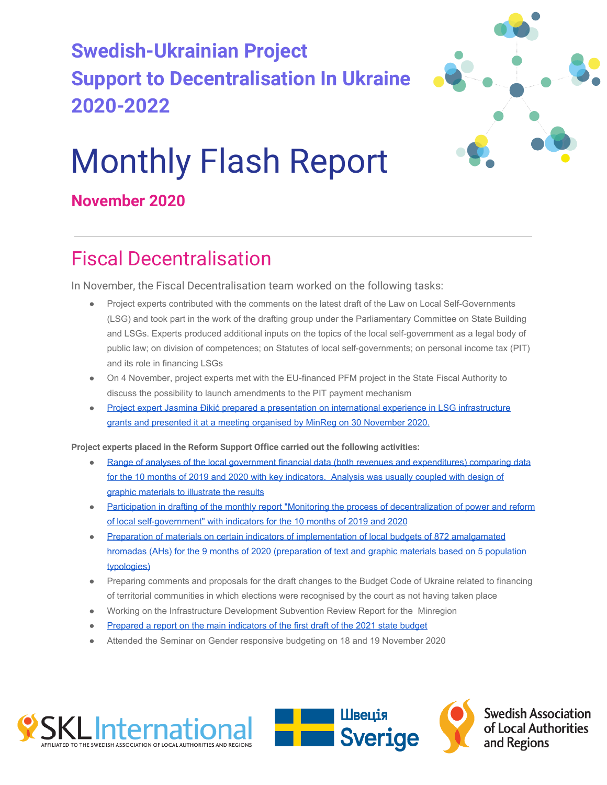## **Swedish-Ukrainian Project Support to Decentralisation In Ukraine 2020-2022**



# Monthly Flash Report

### **November 2020**

### Fiscal Decentralisation

In November, the Fiscal Decentralisation team worked on the following tasks:

- Project experts contributed with the comments on the latest draft of the Law on Local Self-Governments (LSG) and took part in the work of the drafting group under the Parliamentary Committee on State Building and LSGs. Experts produced additional inputs on the topics of the local self-government as a legal body of public law; on division of competences; on Statutes of local self-governments; on personal income tax (PIT) and its role in financing LSGs
- On 4 November, project experts met with the EU-financed PFM project in the State Fiscal Authority to discuss the possibility to launch amendments to the PIT payment mechanism
- [Project expert Jasmina Đikić prepared a presentation on international experience in LSG infrastructure](https://www.slideshare.net/ssuser14ec05/grants-to-local-governments-final-ua) [grants and presented it at a meeting organised by MinReg on 30 November 2020.](https://www.slideshare.net/ssuser14ec05/grants-to-local-governments-final-ua)

**Project experts placed in the Reform Support Office carried out the following activities:**

- [Range of analyses of the local government financial data \(both revenues and expenditures\) comparing data](https://decentralization.gov.ua/news/13008) [for the 10 months of 2019 and 2020 with key indicators. Analysis was usually coupled with design of](https://decentralization.gov.ua/news/13008) [graphic materials to illustrate the results](https://decentralization.gov.ua/news/13008)
- [Participation in drafting of the monthly report "Monitoring the process of decentralization of power and reform](https://decentralization.gov.ua/finance/analityka-ta-monitorynhy) [of local self-government" with indicators for the 10 months of 2019 and 2020](https://decentralization.gov.ua/finance/analityka-ta-monitorynhy)
- [Preparation of materials on certain indicators of implementation of local budgets of 872 amalgamated](https://decentralization.gov.ua/news/12952) [hromadas \(AHs\) for the 9 months of 2020 \(preparation of text and graphic materials based on 5 population](https://decentralization.gov.ua/news/12952) [typologies\)](https://decentralization.gov.ua/news/12952)
- Preparing comments and proposals for the draft changes to the Budget Code of Ukraine related to financing of territorial communities in which elections were recognised by the court as not having taken place
- Working on the Infrastructure Development Subvention Review Report for the Minregion
- [Prepared a report on the main indicators of the first draft of the 2021 state budget](https://decentralization.gov.ua/news/12798)
- Attended the Seminar on Gender responsive budgeting on 18 and 19 November 2020







**Swedish Association** of Local Authorities and Regions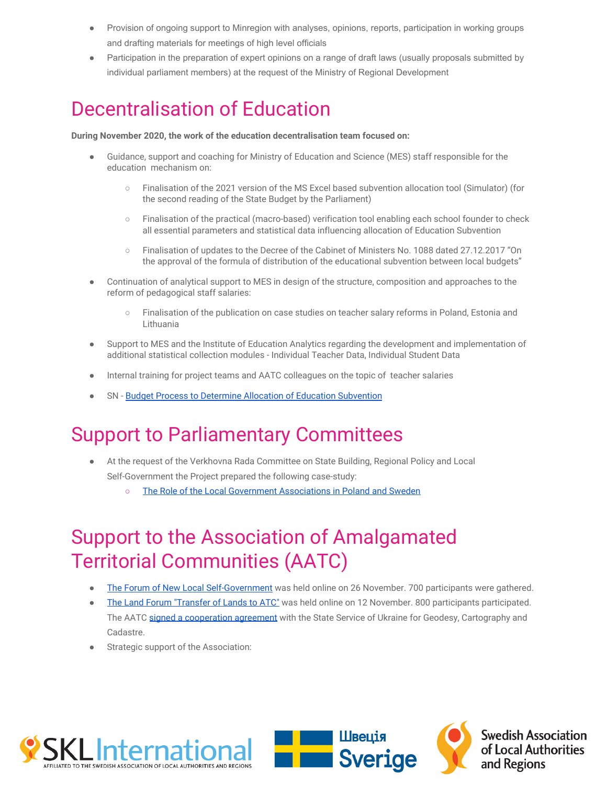- Provision of ongoing support to Minregion with analyses, opinions, reports, participation in working groups and drafting materials for meetings of high level officials
- Participation in the preparation of expert opinions on a range of draft laws (usually proposals submitted by individual parliament members) at the request of the Ministry of Regional Development

### Decentralisation of Education

**During November 2020, the work of the education decentralisation team focused on:**

- Guidance, support and coaching for Ministry of Education and Science (MES) staff responsible for the education mechanism on:
	- Finalisation of the 2021 version of the MS Excel based subvention allocation tool (Simulator) (for the second reading of the State Budget by the Parliament)
	- Finalisation of the practical (macro-based) verification tool enabling each school founder to check all essential parameters and statistical data influencing allocation of Education Subvention
	- Finalisation of updates to the Decree of the Cabinet of Ministers No. 1088 dated 27.12.2017 "On the approval of the formula of distribution of the educational subvention between local budgets"
- Continuation of analytical support to MES in design of the structure, composition and approaches to the reform of pedagogical staff salaries:
	- Finalisation of the publication on case studies on teacher salary reforms in Poland, Estonia and Lithuania
- Support to MES and the Institute of Education Analytics regarding the development and implementation of additional statistical collection modules - Individual Teacher Data, Individual Student Data
- Internal training for project teams and AATC colleagues on the topic of teacher salaries
- SN [Budget Process to Determine Allocation of Education Subvention](http://sklinternational.org.ua/wp-content/uploads/2020/12/SN-119-budget-process.pdf)

### Support to Parliamentary Committees

- At the request of the Verkhovna Rada Committee on State Building, Regional Policy and Local Self-Government the Project prepared the following case-study:
	- [The Role of the Local Government Associations in Poland and Sweden](http://sklinternational.org.ua/wp-content/uploads/2020/12/Article-on-LGAs-final.pdf)

### Support to the Association of Amalgamated Territorial Communities (AATC)

- [The Forum of New Local Self-Government](https://hromady.org/%d1%84%d0%be%d1%80%d1%83%d0%bc-%d0%bd%d0%be%d0%b2%d0%be%d0%b3%d0%be-%d0%bc%d1%96%d1%81%d1%86%d0%b5%d0%b2%d0%be%d0%b3%d0%be-%d1%81%d0%b0%d0%bc%d0%be%d0%b2%d1%80%d1%8f%d0%b4%d1%83%d0%b2%d0%b0%d0%bd-2/) was held online on 26 November. 700 participants were gathered.
- [The Land Forum "Transfer of Lands to ATC"](https://hromady.org/%d1%81%d0%b8%d0%bd%d0%b5%d1%80%d0%b3%d1%96%d1%8f-%d1%82%d0%b0-%d0%bf%d0%b0%d1%80%d1%82%d0%bd%d0%b5%d1%80%d1%81%d1%82%d0%b2%d0%be-%d0%b3%d1%80%d0%be%d0%bc%d0%b0%d0%b4-%d0%b0%d1%81%d0%be%d1%86%d1%96/) was held online on 12 November. 800 participants participated. The AATC [signed a cooperation agreement](https://hromady.org/%d1%81%d0%b8%d0%bd%d0%b5%d1%80%d0%b3%d1%96%d1%8f-%d1%82%d0%b0-%d0%bf%d0%b0%d1%80%d1%82%d0%bd%d0%b5%d1%80%d1%81%d1%82%d0%b2%d0%be-%d0%b3%d1%80%d0%be%d0%bc%d0%b0%d0%b4-%d0%b0%d1%81%d0%be%d1%86%d1%96/) with the State Service of Ukraine for Geodesy, Cartography and Cadastre.
- Strategic support of the Association:





**Swedish Association** of Local Authorities and Regions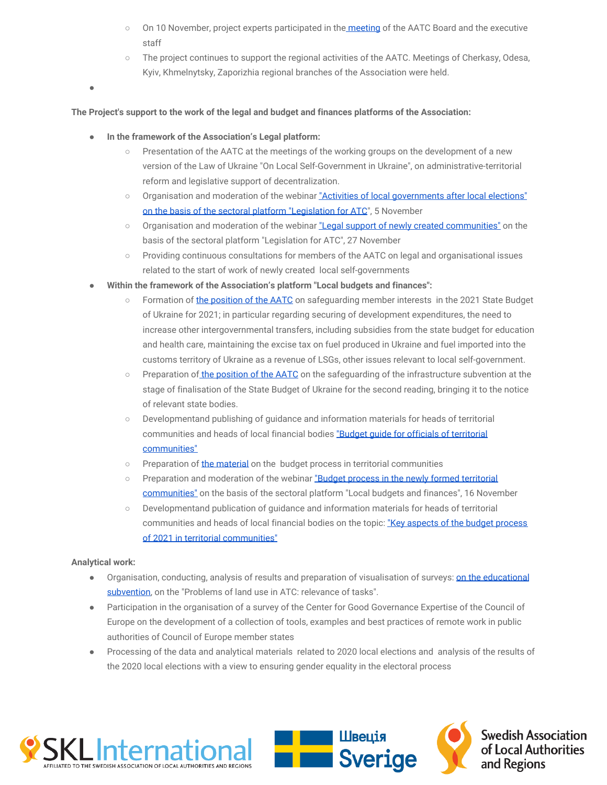- On 10 November, project experts participated in the [meeting](https://hromady.org/%d0%bc%d0%b8-%d0%bf%d1%80%d0%be%d0%b2%d0%be%d0%b4%d0%b8%d0%bc%d0%be-%d0%b7%d0%b0%d1%85%d0%be%d0%b4%d0%b8-%d0%bd%d0%b5-%d0%bb%d0%b8%d1%88%d0%b5-%d0%b4%d0%bb%d1%8f-%d1%87%d0%bb%d0%b5%d0%bd%d1%96%d0%b2/) of the AATC Board and the executive staff
- The project continues to support the regional activities of the AATC. Meetings of Cherkasy, Odesa, Kyiv, Khmelnytsky, Zaporizhia regional branches of the Association were held.

●

#### **The Project's support to the work of the legal and budget and finances platforms of the Association:**

- In the framework of the Association's Legal platform:
	- Presentation of the AATC at the meetings of the working groups on the development of a new version of the Law of Ukraine "On Local Self-Government in Ukraine", on administrative-territorial reform and legislative support of decentralization.
	- Organisation and moderation of the webinar ["Activities of local governments after local elections"](https://hromady.org/%d1%83%d1%81%d0%bf%d1%96%d1%88%d0%bd%d1%96-%d1%80%d0%b0%d0%b7%d0%be%d0%bc-%d0%b0%d1%81%d0%be%d1%86%d1%96%d0%b0%d1%86%d1%96%d1%8f-%d0%be%d1%82%d0%b3-%d0%b4%d0%be%d0%bf%d0%be%d0%bc%d0%b0%d0%b3%d0%b0/) [on the basis of the sectoral platform "Legislation for ATC](https://hromady.org/%d1%83%d1%81%d0%bf%d1%96%d1%88%d0%bd%d1%96-%d1%80%d0%b0%d0%b7%d0%be%d0%bc-%d0%b0%d1%81%d0%be%d1%86%d1%96%d0%b0%d1%86%d1%96%d1%8f-%d0%be%d1%82%d0%b3-%d0%b4%d0%be%d0%bf%d0%be%d0%bc%d0%b0%d0%b3%d0%b0/)", 5 November
	- Organisation and moderation of the webinar ["Legal support of newly created communities"](https://hromady.org/%d0%b2%d0%b5%d0%b1%d1%96%d0%bd%d0%b0%d1%80-%d0%b2-%d0%be%d1%87%d1%96%d0%ba%d1%83%d0%b2%d0%b0%d0%bd%d0%bd%d1%96-3651-%d0%b4/) on the basis of the sectoral platform "Legislation for ATC", 27 November
	- Providing continuous consultations for members of the AATC on legal and organisational issues related to the start of work of newly created local self-governments
- Within the framework of the Association's platform "Local budgets and finances":
	- Formation of [the position of the AATC](https://hromady.org/%d0%b0%d1%81%d0%be%d1%86%d1%96%d0%b0%d1%86%d1%96%d1%8f-%d0%be%d1%82%d0%b3-%d0%bd%d0%b0%d0%bf%d0%be%d0%bb%d1%8f%d0%b3%d0%b0%d1%94-%d0%bd%d0%b0-%d0%b7%d0%b1%d0%b5%d1%80%d0%b5%d0%b6%d0%b5%d0%bd%d0%bd-4/) on safeguarding member interests in the 2021 State Budget of Ukraine for 2021; in particular regarding securing of development expenditures, the need to increase other intergovernmental transfers, including subsidies from the state budget for education and health care, maintaining the excise tax on fuel produced in Ukraine and fuel imported into the customs territory of Ukraine as a revenue of LSGs, other issues relevant to local self-government.
	- Preparation o[f the position of the AATC](https://hromady.org/%d0%b0%d1%81%d0%be%d1%86%d1%96%d0%b0%d1%86%d1%96%d1%8f-%d0%be%d1%82%d0%b3-%d0%bd%d0%b0%d0%bf%d0%be%d0%bb%d1%8f%d0%b3%d0%b0%d1%94-%d0%bd%d0%b0-%d0%b7%d0%b1%d0%b5%d1%80%d0%b5%d0%b6%d0%b5%d0%bd%d0%bd-3/) on the safeguarding of the infrastructure subvention at the stage of finalisation of the State Budget of Ukraine for the second reading, bringing it to the notice of relevant state bodies.
	- Developmentand publishing of guidance and information materials for heads of territorial communities and heads of local financial bodies "Budget quide for officials of territorial [communities"](https://hromady.org/%d0%b0%d1%81%d0%be%d1%86%d1%96%d0%b0%d1%86%d1%96%d1%8f-%d0%be%d1%82%d0%b3-%d0%bf%d1%80%d0%b5%d0%b7%d0%b5%d0%bd%d1%82%d1%83%d1%94-%d0%ba%d0%be%d0%bc%d0%bf%d0%bb%d0%b5%d0%ba%d1%81%d0%bd%d0%b8%d0%b9/)
	- o Preparation of [the material](https://hromady.org/17056-2/) on the budget process in territorial communities
	- Preparation and moderation of the webinar ["Budget process in the newly formed territorial](http://./) [communities"](http://./) on the basis of the sectoral platform "Local budgets and finances", 16 November
	- Developmentand publication of guidance and information materials for heads of territorial communities and heads of local financial bodies on the topic: ["Key aspects of the budget process](https://hromady.org/17056-2/) [of 2021 in territorial communities"](https://hromady.org/17056-2/)

#### **Analytical work:**

- Organisation, conducting, analysis of results and preparation of visualisation of surveys: **[on the educational](https://hromady.org/wp-content/uploads/2020/12/%D0%BE%D1%81%D0%B2%D1%96%D1%82%D0%BD%D1%8F-%D1%81%D1%83%D0%B1%D0%B2%D0%B5%D0%BD%D1%86%D1%96%D1%8F.pdf)** [subvention,](https://hromady.org/wp-content/uploads/2020/12/%D0%BE%D1%81%D0%B2%D1%96%D1%82%D0%BD%D1%8F-%D1%81%D1%83%D0%B1%D0%B2%D0%B5%D0%BD%D1%86%D1%96%D1%8F.pdf) on the "Problems of land use in ATC: relevance of tasks".
- Participation in the organisation of a survey of the Center for Good Governance Expertise of the Council of Europe on the development of a collection of tools, examples and best practices of remote work in public authorities of Council of Europe member states
- Processing of the data and analytical materials related to 2020 local elections and analysis of the results of the 2020 local elections with a view to ensuring gender equality in the electoral process





**Swedish Association** of Local Authorities and Regions